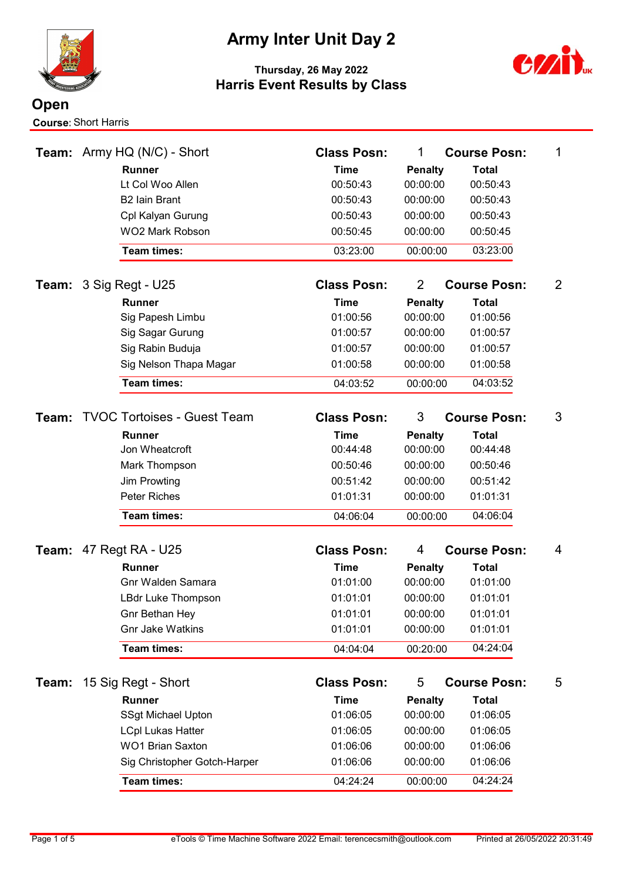

# Army Inter Unit Day 2



| Team: | Army HQ (N/C) - Short              | <b>Class Posn:</b> | 1                          | <b>Course Posn:</b> | 1 |
|-------|------------------------------------|--------------------|----------------------------|---------------------|---|
|       | <b>Runner</b>                      | <b>Time</b>        | <b>Penalty</b>             | <b>Total</b>        |   |
|       | Lt Col Woo Allen                   | 00:50:43           | 00:00:00                   | 00:50:43            |   |
|       | <b>B2 Iain Brant</b>               | 00:50:43           | 00:00:00                   | 00:50:43            |   |
|       | Cpl Kalyan Gurung                  | 00:50:43           | 00:00:00                   | 00:50:43            |   |
|       | <b>WO2 Mark Robson</b>             | 00:50:45           | 00:00:00                   | 00:50:45            |   |
|       | <b>Team times:</b>                 | 03:23:00           | 00:00:00                   | 03:23:00            |   |
|       | <b>Team:</b> $3$ Sig Regt - U25    | <b>Class Posn:</b> | $\overline{2}$             | <b>Course Posn:</b> | 2 |
|       | <b>Runner</b>                      | <b>Time</b>        | <b>Penalty</b>             | <b>Total</b>        |   |
|       | Sig Papesh Limbu                   | 01:00:56           | 00:00:00                   | 01:00:56            |   |
|       | Sig Sagar Gurung                   | 01:00:57           | 00:00:00                   | 01:00:57            |   |
|       | Sig Rabin Buduja                   | 01:00:57           | 00:00:00                   | 01:00:57            |   |
|       | Sig Nelson Thapa Magar             | 01:00:58           | 00:00:00                   | 01:00:58            |   |
|       | <b>Team times:</b>                 | 04:03:52           | 00:00:00                   | 04:03:52            |   |
| Team: | <b>TVOC Tortoises - Guest Team</b> | <b>Class Posn:</b> | 3                          | <b>Course Posn:</b> | 3 |
|       | <b>Runner</b>                      | <b>Time</b>        | <b>Penalty</b>             | <b>Total</b>        |   |
|       | Jon Wheatcroft                     | 00:44:48           | 00:00:00                   | 00:44:48            |   |
|       | Mark Thompson                      | 00:50:46           | 00:00:00                   | 00:50:46            |   |
|       | Jim Prowting                       | 00:51:42           | 00:00:00                   | 00:51:42            |   |
|       | <b>Peter Riches</b>                | 01:01:31           | 00:00:00                   | 01:01:31            |   |
|       | <b>Team times:</b>                 | 04:06:04           | 00:00:00                   | 04:06:04            |   |
|       | <b>Team: 47 Regt RA - U25</b>      | <b>Class Posn:</b> | 4                          | <b>Course Posn:</b> | 4 |
|       | <b>Runner</b>                      | <b>Time</b>        |                            | <b>Total</b>        |   |
|       | <b>Gnr Walden Samara</b>           | 01:01:00           | <b>Penalty</b><br>00:00:00 | 01:01:00            |   |
|       | LBdr Luke Thompson                 | 01:01:01           | 00:00:00                   | 01:01:01            |   |
|       | Gnr Bethan Hey                     | 01:01:01           | 00:00:00                   | 01:01:01            |   |
|       | <b>Gnr Jake Watkins</b>            | 01:01:01           | 00:00:00                   | 01:01:01            |   |
|       | Team times:                        | 04:04:04           | 00:20:00                   | 04:24:04            |   |
|       |                                    |                    |                            |                     |   |
| Team: | 15 Sig Regt - Short                | <b>Class Posn:</b> | 5                          | <b>Course Posn:</b> | 5 |
|       | Runner                             | <b>Time</b>        | <b>Penalty</b>             | <b>Total</b>        |   |
|       | <b>SSgt Michael Upton</b>          | 01:06:05           | 00:00:00                   | 01:06:05            |   |
|       | <b>LCpl Lukas Hatter</b>           | 01:06:05           | 00:00:00                   | 01:06:05            |   |
|       | <b>WO1 Brian Saxton</b>            | 01:06:06           | 00:00:00                   | 01:06:06            |   |
|       | Sig Christopher Gotch-Harper       | 01:06:06           | 00:00:00                   | 01:06:06            |   |
|       | Team times:                        | 04:24:24           | 00:00:00                   | 04:24:24            |   |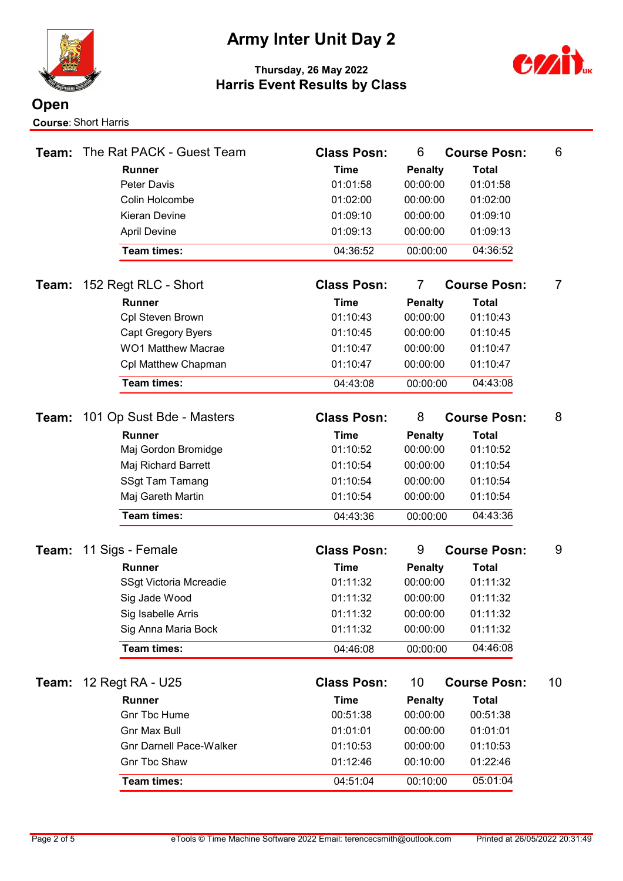

# Army Inter Unit Day 2



| Team: | The Rat PACK - Guest Team      | <b>Class Posn:</b> | 6              | <b>Course Posn:</b> | 6  |
|-------|--------------------------------|--------------------|----------------|---------------------|----|
|       | <b>Runner</b>                  | <b>Time</b>        | <b>Penalty</b> | <b>Total</b>        |    |
|       | Peter Davis                    | 01:01:58           | 00:00:00       | 01:01:58            |    |
|       | Colin Holcombe                 | 01:02:00           | 00:00:00       | 01:02:00            |    |
|       | <b>Kieran Devine</b>           | 01:09:10           | 00:00:00       | 01:09:10            |    |
|       | <b>April Devine</b>            | 01:09:13           | 00:00:00       | 01:09:13            |    |
|       | <b>Team times:</b>             | 04:36:52           | 00:00:00       | 04:36:52            |    |
| Team: | 152 Regt RLC - Short           | <b>Class Posn:</b> | 7              | <b>Course Posn:</b> | 7  |
|       | <b>Runner</b>                  | <b>Time</b>        | <b>Penalty</b> | <b>Total</b>        |    |
|       | Cpl Steven Brown               | 01:10:43           | 00:00:00       | 01:10:43            |    |
|       | <b>Capt Gregory Byers</b>      | 01:10:45           | 00:00:00       | 01:10:45            |    |
|       | <b>WO1 Matthew Macrae</b>      | 01:10:47           | 00:00:00       | 01:10:47            |    |
|       | Cpl Matthew Chapman            | 01:10:47           | 00:00:00       | 01:10:47            |    |
|       | <b>Team times:</b>             | 04:43:08           | 00:00:00       | 04:43:08            |    |
| Team: | 101 Op Sust Bde - Masters      | <b>Class Posn:</b> | 8              | <b>Course Posn:</b> | 8  |
|       | <b>Runner</b>                  | Time               | <b>Penalty</b> | <b>Total</b>        |    |
|       | Maj Gordon Bromidge            | 01:10:52           | 00:00:00       | 01:10:52            |    |
|       | Maj Richard Barrett            | 01:10:54           | 00:00:00       | 01:10:54            |    |
|       | <b>SSgt Tam Tamang</b>         | 01:10:54           | 00:00:00       | 01:10:54            |    |
|       | Maj Gareth Martin              | 01:10:54           | 00:00:00       | 01:10:54            |    |
|       | <b>Team times:</b>             | 04:43:36           | 00:00:00       | 04:43:36            |    |
|       |                                |                    |                |                     |    |
| Team: | 11 Sigs - Female               | <b>Class Posn:</b> | 9              | <b>Course Posn:</b> | 9  |
|       | <b>Runner</b>                  | <b>Time</b>        | <b>Penalty</b> | <b>Total</b>        |    |
|       | SSgt Victoria Mcreadie         | 01:11:32           | 00:00:00       | 01:11:32            |    |
|       | Sig Jade Wood                  | 01:11:32           | 00:00:00       | 01:11:32            |    |
|       | Sig Isabelle Arris             | 01:11:32           | 00:00:00       | 01:11:32            |    |
|       | Sig Anna Maria Bock            | 01:11:32           | 00:00:00       | 01:11:32            |    |
|       | <b>Team times:</b>             | 04:46:08           | 00:00:00       | 04:46:08            |    |
| Team: | 12 Regt RA - U25               | <b>Class Posn:</b> | 10             | <b>Course Posn:</b> | 10 |
|       | Runner                         | <b>Time</b>        | <b>Penalty</b> | <b>Total</b>        |    |
|       | <b>Gnr Tbc Hume</b>            | 00:51:38           | 00:00:00       | 00:51:38            |    |
|       | <b>Gnr Max Bull</b>            | 01:01:01           | 00:00:00       | 01:01:01            |    |
|       | <b>Gnr Darnell Pace-Walker</b> | 01:10:53           | 00:00:00       | 01:10:53            |    |
|       | <b>Gnr Tbc Shaw</b>            | 01:12:46           | 00:10:00       | 01:22:46            |    |
|       | Team times:                    | 04:51:04           | 00:10:00       | 05:01:04            |    |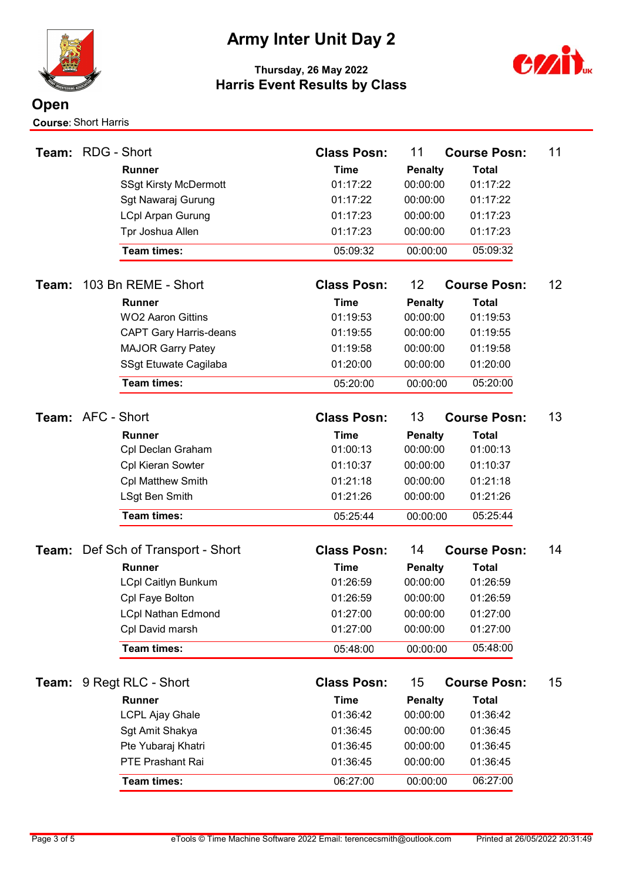

### Army Inter Unit Day 2



| Team:             | <b>RDG - Short</b> |                                               | <b>Class Posn:</b>      | 11                         | <b>Course Posn:</b>      | 11 |
|-------------------|--------------------|-----------------------------------------------|-------------------------|----------------------------|--------------------------|----|
|                   |                    | <b>Runner</b>                                 | <b>Time</b>             | <b>Penalty</b>             | <b>Total</b>             |    |
|                   |                    | <b>SSgt Kirsty McDermott</b>                  | 01:17:22                | 00:00:00                   | 01:17:22                 |    |
|                   |                    | Sgt Nawaraj Gurung                            | 01:17:22                | 00:00:00                   | 01:17:22                 |    |
|                   |                    | <b>LCpl Arpan Gurung</b>                      | 01:17:23                | 00:00:00                   | 01:17:23                 |    |
|                   |                    | Tpr Joshua Allen                              | 01:17:23                | 00:00:00                   | 01:17:23                 |    |
|                   |                    | <b>Team times:</b>                            | 05:09:32                | 00:00:00                   | 05:09:32                 |    |
| Team:             |                    | 103 Bn REME - Short                           | <b>Class Posn:</b>      | 12                         | <b>Course Posn:</b>      | 12 |
|                   |                    | <b>Runner</b>                                 | <b>Time</b>             | <b>Penalty</b>             | <b>Total</b>             |    |
|                   |                    | <b>WO2 Aaron Gittins</b>                      | 01:19:53                | 00:00:00                   | 01:19:53                 |    |
|                   |                    | <b>CAPT Gary Harris-deans</b>                 | 01:19:55                | 00:00:00                   | 01:19:55                 |    |
|                   |                    | <b>MAJOR Garry Patey</b>                      | 01:19:58                | 00:00:00                   | 01:19:58                 |    |
|                   |                    | SSgt Etuwate Cagilaba                         | 01:20:00                | 00:00:00                   | 01:20:00                 |    |
|                   |                    | <b>Team times:</b>                            | 05:20:00                | 00:00:00                   | 05:20:00                 |    |
| Team: AFC - Short |                    |                                               | <b>Class Posn:</b>      | 13                         | <b>Course Posn:</b>      | 13 |
|                   |                    | <b>Runner</b>                                 | <b>Time</b>             | <b>Penalty</b>             | <b>Total</b>             |    |
|                   |                    | Cpl Declan Graham                             | 01:00:13                | 00:00:00                   | 01:00:13                 |    |
|                   |                    | Cpl Kieran Sowter                             | 01:10:37                | 00:00:00                   | 01:10:37                 |    |
|                   |                    | <b>Cpl Matthew Smith</b>                      | 01:21:18                | 00:00:00                   | 01:21:18                 |    |
|                   |                    | LSgt Ben Smith                                | 01:21:26                | 00:00:00                   | 01:21:26                 |    |
|                   |                    | <b>Team times:</b>                            | 05:25:44                | 00:00:00                   | 05:25:44                 |    |
|                   |                    |                                               | <b>Class Posn:</b>      | 14                         | <b>Course Posn:</b>      | 14 |
|                   |                    | <b>Team:</b> Def Sch of Transport - Short     |                         |                            |                          |    |
|                   |                    | <b>Runner</b>                                 | <b>Time</b><br>01:26:59 | <b>Penalty</b><br>00:00:00 | <b>Total</b><br>01:26:59 |    |
|                   |                    | <b>LCpl Caitlyn Bunkum</b><br>Cpl Faye Bolton | 01:26:59                | 00:00:00                   | 01:26:59                 |    |
|                   |                    | <b>LCpl Nathan Edmond</b>                     | 01:27:00                | 00:00:00                   | 01:27:00                 |    |
|                   |                    | Cpl David marsh                               | 01:27:00                | 00:00:00                   | 01:27:00                 |    |
|                   |                    | Team times:                                   | 05:48:00                | 00:00:00                   | 05:48:00                 |    |
|                   |                    |                                               |                         |                            |                          |    |
| Team:             |                    | 9 Regt RLC - Short                            | <b>Class Posn:</b>      | 15                         | <b>Course Posn:</b>      | 15 |
|                   |                    | Runner                                        | <b>Time</b>             | <b>Penalty</b>             | <b>Total</b>             |    |
|                   |                    | <b>LCPL Ajay Ghale</b>                        | 01:36:42                | 00:00:00                   | 01:36:42                 |    |
|                   |                    | Sgt Amit Shakya                               | 01:36:45                | 00:00:00                   | 01:36:45                 |    |
|                   |                    | Pte Yubaraj Khatri                            | 01:36:45                | 00:00:00                   | 01:36:45                 |    |
|                   |                    | PTE Prashant Rai                              | 01:36:45                | 00:00:00                   | 01:36:45                 |    |
|                   |                    | Team times:                                   | 06:27:00                | 00:00:00                   | 06:27:00                 |    |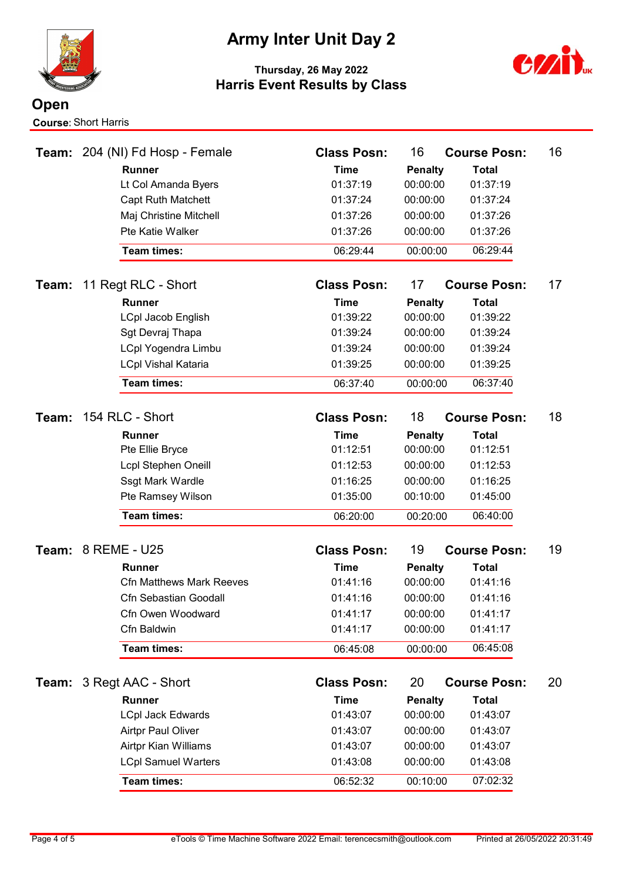

# Army Inter Unit Day 2



|       |                           | Team: 204 (NI) Fd Hosp - Female | <b>Class Posn:</b> | 16                         | <b>Course Posn:</b> | 16 |
|-------|---------------------------|---------------------------------|--------------------|----------------------------|---------------------|----|
|       |                           | <b>Runner</b>                   | <b>Time</b>        | <b>Penalty</b>             | <b>Total</b>        |    |
|       |                           | Lt Col Amanda Byers             | 01:37:19           | 00:00:00                   | 01:37:19            |    |
|       |                           | <b>Capt Ruth Matchett</b>       | 01:37:24           | 00:00:00                   | 01:37:24            |    |
|       |                           | Maj Christine Mitchell          | 01:37:26           | 00:00:00                   | 01:37:26            |    |
|       |                           | Pte Katie Walker                | 01:37:26           | 00:00:00                   | 01:37:26            |    |
|       |                           | <b>Team times:</b>              | 06:29:44           | 00:00:00                   | 06:29:44            |    |
| Team: |                           | 11 Regt RLC - Short             | <b>Class Posn:</b> | 17                         | <b>Course Posn:</b> | 17 |
|       |                           | <b>Runner</b>                   | <b>Time</b>        | <b>Penalty</b>             | <b>Total</b>        |    |
|       |                           | LCpl Jacob English              | 01:39:22           | 00:00:00                   | 01:39:22            |    |
|       |                           | Sgt Devraj Thapa                | 01:39:24           | 00:00:00                   | 01:39:24            |    |
|       |                           | <b>LCpl Yogendra Limbu</b>      | 01:39:24           | 00:00:00                   | 01:39:24            |    |
|       |                           | <b>LCpl Vishal Kataria</b>      | 01:39:25           | 00:00:00                   | 01:39:25            |    |
|       |                           | <b>Team times:</b>              | 06:37:40           | 00:00:00                   | 06:37:40            |    |
|       |                           | 154 RLC - Short                 | <b>Class Posn:</b> | 18                         |                     | 18 |
| Team: |                           |                                 |                    |                            | <b>Course Posn:</b> |    |
|       |                           | <b>Runner</b>                   | <b>Time</b>        | <b>Penalty</b><br>00:00:00 | <b>Total</b>        |    |
|       |                           | Pte Ellie Bryce                 | 01:12:51           |                            | 01:12:51            |    |
|       |                           | <b>Lcpl Stephen Oneill</b>      | 01:12:53           | 00:00:00                   | 01:12:53            |    |
|       |                           | Ssgt Mark Wardle                | 01:16:25           | 00:00:00                   | 01:16:25            |    |
|       |                           | Pte Ramsey Wilson               | 01:35:00           | 00:10:00                   | 01:45:00            |    |
|       |                           | <b>Team times:</b>              | 06:20:00           | 00:20:00                   | 06:40:00            |    |
|       | <b>Team: 8 REME - U25</b> |                                 | <b>Class Posn:</b> | 19                         | <b>Course Posn:</b> | 19 |
|       |                           | <b>Runner</b>                   | <b>Time</b>        | <b>Penalty</b>             | <b>Total</b>        |    |
|       |                           | <b>Cfn Matthews Mark Reeves</b> | 01:41:16           | 00:00:00                   | 01:41:16            |    |
|       |                           | Cfn Sebastian Goodall           | 01:41:16           | 00:00:00                   | 01:41:16            |    |
|       |                           | Cfn Owen Woodward               | 01:41:17           | 00:00:00                   | 01:41:17            |    |
|       |                           | Cfn Baldwin                     | 01:41:17           | 00:00:00                   | 01:41:17            |    |
|       |                           | Team times:                     | 06:45:08           | 00:00:00                   | 06:45:08            |    |
|       |                           | <b>Team: 3 Regt AAC - Short</b> | <b>Class Posn:</b> | 20                         | <b>Course Posn:</b> | 20 |
|       |                           | Runner                          | <b>Time</b>        | <b>Penalty</b>             | <b>Total</b>        |    |
|       |                           | <b>LCpl Jack Edwards</b>        | 01:43:07           | 00:00:00                   | 01:43:07            |    |
|       |                           | Airtpr Paul Oliver              | 01:43:07           | 00:00:00                   | 01:43:07            |    |
|       |                           | Airtpr Kian Williams            | 01:43:07           | 00:00:00                   | 01:43:07            |    |
|       |                           | <b>LCpl Samuel Warters</b>      | 01:43:08           | 00:00:00                   | 01:43:08            |    |
|       |                           | Team times:                     | 06:52:32           | 00:10:00                   | 07:02:32            |    |